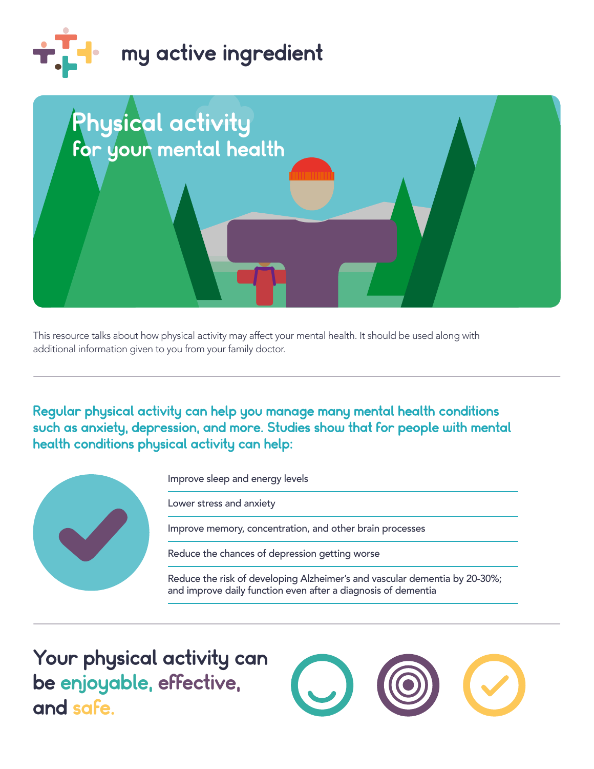



This resource talks about how physical activity may affect your mental health. It should be used along with additional information given to you from your family doctor.

Regular physical activity can help you manage many mental health conditions such as anxiety, depression, and more. Studies show that for people with mental health conditions physical activity can help:



Improve sleep and energy levels

Lower stress and anxiety

Improve memory, concentration, and other brain processes

Reduce the chances of depression getting worse

Reduce the risk of developing Alzheimer's and vascular dementia by 20-30%; and improve daily function even after a diagnosis of dementia

 be enjoyable, effective, Your physical activity can and safe.